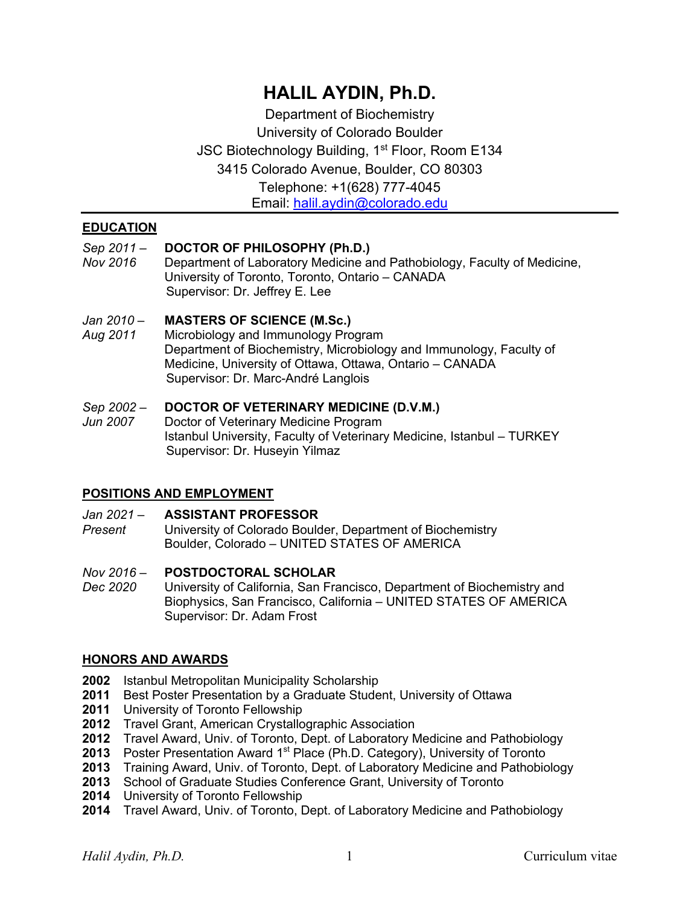# **HALIL AYDIN, Ph.D.**

Department of Biochemistry University of Colorado Boulder JSC Biotechnology Building, 1<sup>st</sup> Floor, Room E134 3415 Colorado Avenue, Boulder, CO 80303 Telephone: +1(628) 777-4045 Email: halil.aydin@colorado.edu

## **EDUCATION**

## *Sep 2011 –* **DOCTOR OF PHILOSOPHY (Ph.D.)**

*Nov 2016* Department of Laboratory Medicine and Pathobiology, Faculty of Medicine, University of Toronto, Toronto, Ontario – CANADA Supervisor: Dr. Jeffrey E. Lee

#### *Jan 2010 –* **MASTERS OF SCIENCE (M.Sc.)**

*Aug 2011* Microbiology and Immunology Program Department of Biochemistry, Microbiology and Immunology, Faculty of Medicine, University of Ottawa, Ottawa, Ontario – CANADA Supervisor: Dr. Marc-André Langlois

# *Sep 2002 –* **DOCTOR OF VETERINARY MEDICINE (D.V.M.)**

**Doctor of Veterinary Medicine Program** Istanbul University, Faculty of Veterinary Medicine, Istanbul – TURKEY Supervisor: Dr. Huseyin Yilmaz

## **POSITIONS AND EMPLOYMENT**

#### *Jan 2021 –* **ASSISTANT PROFESSOR**

*Present* University of Colorado Boulder, Department of Biochemistry Boulder, Colorado – UNITED STATES OF AMERICA

#### *Nov 2016 –* **POSTDOCTORAL SCHOLAR**

*Dec 2020* University of California, San Francisco, Department of Biochemistry and Biophysics, San Francisco, California – UNITED STATES OF AMERICA Supervisor: Dr. Adam Frost

#### **HONORS AND AWARDS**

- **2002** Istanbul Metropolitan Municipality Scholarship
- **2011** Best Poster Presentation by a Graduate Student, University of Ottawa
- **2011** University of Toronto Fellowship
- **2012** Travel Grant, American Crystallographic Association
- **2012** Travel Award, Univ. of Toronto, Dept. of Laboratory Medicine and Pathobiology
- 2013 Poster Presentation Award 1<sup>st</sup> Place (Ph.D. Category), University of Toronto
- **2013** Training Award, Univ. of Toronto, Dept. of Laboratory Medicine and Pathobiology
- **2013** School of Graduate Studies Conference Grant, University of Toronto
- **2014** University of Toronto Fellowship
- **2014** Travel Award, Univ. of Toronto, Dept. of Laboratory Medicine and Pathobiology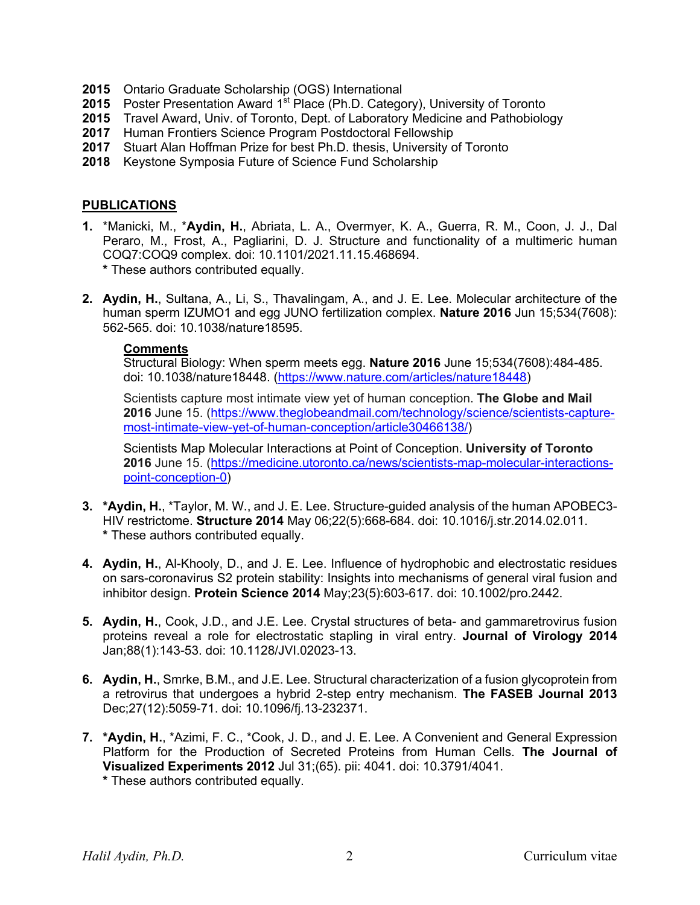- **2015** Ontario Graduate Scholarship (OGS) International
- 2015 Poster Presentation Award 1<sup>st</sup> Place (Ph.D. Category), University of Toronto
- **2015** Travel Award, Univ. of Toronto, Dept. of Laboratory Medicine and Pathobiology
- **2017** Human Frontiers Science Program Postdoctoral Fellowship
- **2017** Stuart Alan Hoffman Prize for best Ph.D. thesis, University of Toronto
- **2018** Keystone Symposia Future of Science Fund Scholarship

#### **PUBLICATIONS**

- **1.** \*Manicki, M., \***Aydin, H.**, Abriata, L. A., Overmyer, K. A., Guerra, R. M., Coon, J. J., Dal Peraro, M., Frost, A., Pagliarini, D. J. Structure and functionality of a multimeric human COQ7:COQ9 complex. doi: 10.1101/2021.11.15.468694. **\*** These authors contributed equally.
- **2. Aydin, H.**, Sultana, A., Li, S., Thavalingam, A., and J. E. Lee. Molecular architecture of the human sperm IZUMO1 and egg JUNO fertilization complex. **Nature 2016** Jun 15;534(7608): 562-565. doi: 10.1038/nature18595.

#### **Comments**

Structural Biology: When sperm meets egg. **Nature 2016** June 15;534(7608):484-485. doi: 10.1038/nature18448. (https://www.nature.com/articles/nature18448)

Scientists capture most intimate view yet of human conception. **The Globe and Mail 2016** June 15. (https://www.theglobeandmail.com/technology/science/scientists-capturemost-intimate-view-yet-of-human-conception/article30466138/)

Scientists Map Molecular Interactions at Point of Conception. **University of Toronto 2016** June 15. (https://medicine.utoronto.ca/news/scientists-map-molecular-interactionspoint-conception-0)

- **3. \*Aydin, H.**, \*Taylor, M. W., and J. E. Lee. Structure-guided analysis of the human APOBEC3- HIV restrictome. **Structure 2014** May 06;22(5):668-684. doi: 10.1016/j.str.2014.02.011. **\*** These authors contributed equally.
- **4. Aydin, H.**, Al-Khooly, D., and J. E. Lee. Influence of hydrophobic and electrostatic residues on sars-coronavirus S2 protein stability: Insights into mechanisms of general viral fusion and inhibitor design. **Protein Science 2014** May;23(5):603-617. doi: 10.1002/pro.2442.
- **5. Aydin, H.**, Cook, J.D., and J.E. Lee. Crystal structures of beta- and gammaretrovirus fusion proteins reveal a role for electrostatic stapling in viral entry. **Journal of Virology 2014** Jan;88(1):143-53. doi: 10.1128/JVI.02023-13.
- **6. Aydin, H.**, Smrke, B.M., and J.E. Lee. Structural characterization of a fusion glycoprotein from a retrovirus that undergoes a hybrid 2-step entry mechanism. **The FASEB Journal 2013** Dec;27(12):5059-71. doi: 10.1096/fj.13-232371.
- **7. \*Aydin, H.**, \*Azimi, F. C., \*Cook, J. D., and J. E. Lee. A Convenient and General Expression Platform for the Production of Secreted Proteins from Human Cells. **The Journal of Visualized Experiments 2012** Jul 31;(65). pii: 4041. doi: 10.3791/4041. **\*** These authors contributed equally.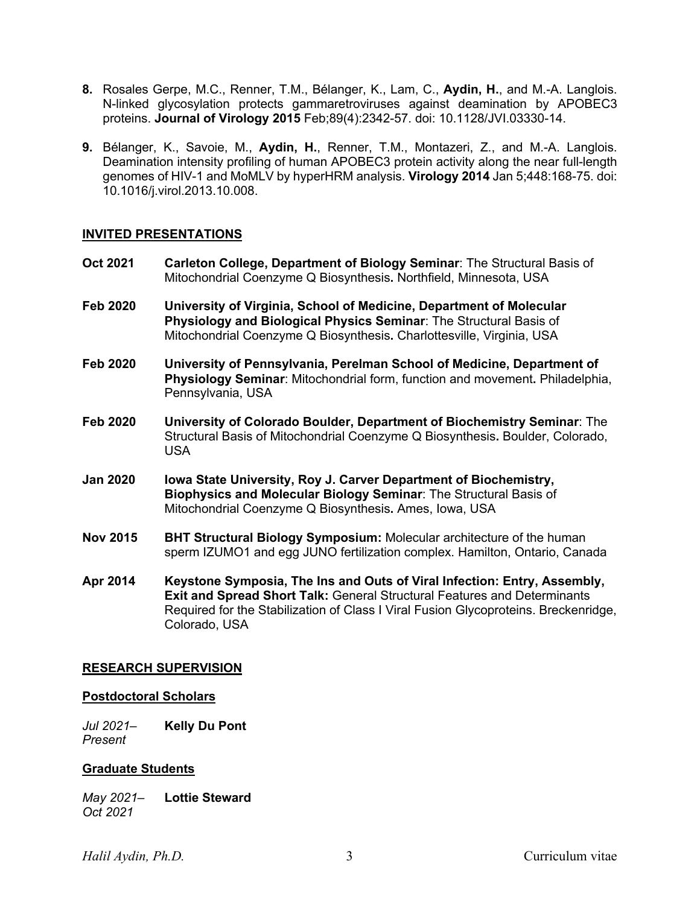- **8.** Rosales Gerpe, M.C., Renner, T.M., Bélanger, K., Lam, C., **Aydin, H.**, and M.-A. Langlois. N-linked glycosylation protects gammaretroviruses against deamination by APOBEC3 proteins. **Journal of Virology 2015** Feb;89(4):2342-57. doi: 10.1128/JVI.03330-14.
- **9.** Bélanger, K., Savoie, M., **Aydin, H.**, Renner, T.M., Montazeri, Z., and M.-A. Langlois. Deamination intensity profiling of human APOBEC3 protein activity along the near full-length genomes of HIV-1 and MoMLV by hyperHRM analysis. **Virology 2014** Jan 5;448:168-75. doi: 10.1016/j.virol.2013.10.008.

#### **INVITED PRESENTATIONS**

- **Oct 2021 Carleton College, Department of Biology Seminar**: The Structural Basis of Mitochondrial Coenzyme Q Biosynthesis**.** Northfield, Minnesota, USA
- **Feb 2020 University of Virginia, School of Medicine, Department of Molecular Physiology and Biological Physics Seminar**: The Structural Basis of Mitochondrial Coenzyme Q Biosynthesis**.** Charlottesville, Virginia, USA
- **Feb 2020 University of Pennsylvania, Perelman School of Medicine, Department of Physiology Seminar**: Mitochondrial form, function and movement**.** Philadelphia, Pennsylvania, USA
- **Feb 2020 University of Colorado Boulder, Department of Biochemistry Seminar**: The Structural Basis of Mitochondrial Coenzyme Q Biosynthesis**.** Boulder, Colorado, USA
- **Jan 2020 Iowa State University, Roy J. Carver Department of Biochemistry, Biophysics and Molecular Biology Seminar**: The Structural Basis of Mitochondrial Coenzyme Q Biosynthesis**.** Ames, Iowa, USA
- **Nov 2015 BHT Structural Biology Symposium:** Molecular architecture of the human sperm IZUMO1 and egg JUNO fertilization complex. Hamilton, Ontario, Canada
- **Apr 2014 Keystone Symposia, The Ins and Outs of Viral Infection: Entry, Assembly, Exit and Spread Short Talk:** General Structural Features and Determinants Required for the Stabilization of Class I Viral Fusion Glycoproteins. Breckenridge, Colorado, USA

#### **RESEARCH SUPERVISION**

#### **Postdoctoral Scholars**

*Jul 2021*– **Kelly Du Pont** *Present*

#### **Graduate Students**

*May 2021*– **Lottie Steward** *Oct 2021*

*Halil Aydin, Ph.D.* 3 Curriculum vitae